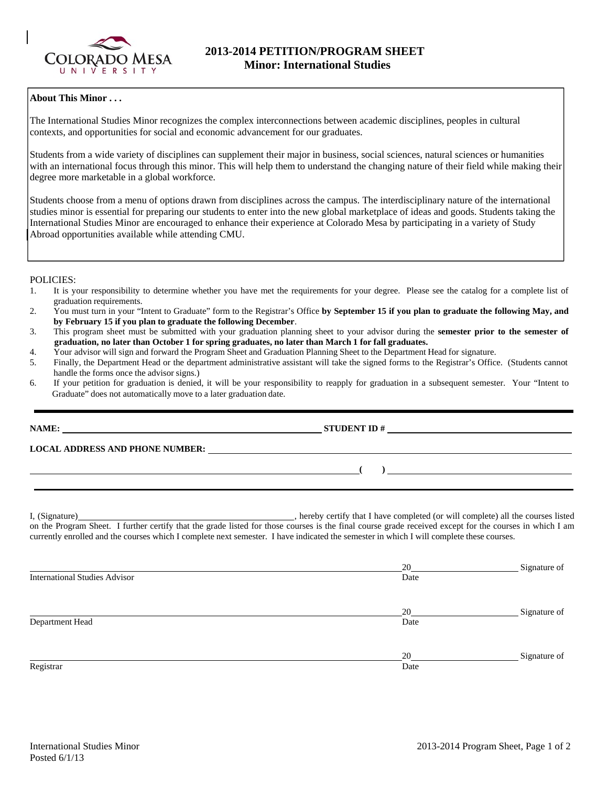

# **About This Minor . . .**

The International Studies Minor recognizes the complex interconnections between academic disciplines, peoples in cultural contexts, and opportunities for social and economic advancement for our graduates.

Students from a wide variety of disciplines can supplement their major in business, social sciences, natural sciences or humanities with an international focus through this minor. This will help them to understand the changing nature of their field while making their degree more marketable in a global workforce.

Students choose from a menu of options drawn from disciplines across the campus. The interdisciplinary nature of the international studies minor is essential for preparing our students to enter into the new global marketplace of ideas and goods. Students taking the International Studies Minor are encouraged to enhance their experience at Colorado Mesa by participating in a variety of Study Abroad opportunities available while attending CMU.

### POLICIES:

- 1. It is your responsibility to determine whether you have met the requirements for your degree. Please see the catalog for a complete list of graduation requirements.
- 2. You must turn in your "Intent to Graduate" form to the Registrar's Office **by September 15 if you plan to graduate the following May, and by February 15 if you plan to graduate the following December**.
- 3. This program sheet must be submitted with your graduation planning sheet to your advisor during the **semester prior to the semester of graduation, no later than October 1 for spring graduates, no later than March 1 for fall graduates.**<br>Your advisor will sign and forward the Program Sheet and Graduation Planning Sheet to the Department **For a struct than**
- Your advisor will sign and forward the Program Sheet and Graduation Planning Sheet to the Department Head for signature.

 **(** ) **(** ) **(** ) **(** ) **(** ) **(** ) **(** ) **(** ) **(** ) **(** ) **(** ) **(** ) **(** ) **(** ) **(** ) **(** ) **(** ) **(** 

- 5. Finally, the Department Head or the department administrative assistant will take the signed forms to the Registrar's Office. (Students cannot handle the forms once the advisor signs.)
- 6. If your petition for graduation is denied, it will be your responsibility to reapply for graduation in a subsequent semester. Your "Intent to Graduate" does not automatically move to a later graduation date.

**NAME: STUDENT ID #** 

**LOCAL ADDRESS AND PHONE NUMBER:** 

I, (Signature) , hereby certify that I have completed (or will complete) all the courses listed on the Program Sheet. I further certify that the grade listed for those courses is the final course grade received except for the courses in which I am currently enrolled and the courses which I complete next semester. I have indicated the semester in which I will complete these courses.

|                                      | 20   | Signature of |
|--------------------------------------|------|--------------|
| <b>International Studies Advisor</b> | Date |              |
|                                      | 20   | Signature of |
| Department Head                      | Date |              |
|                                      | 20   | Signature of |
| Registrar                            | Date |              |